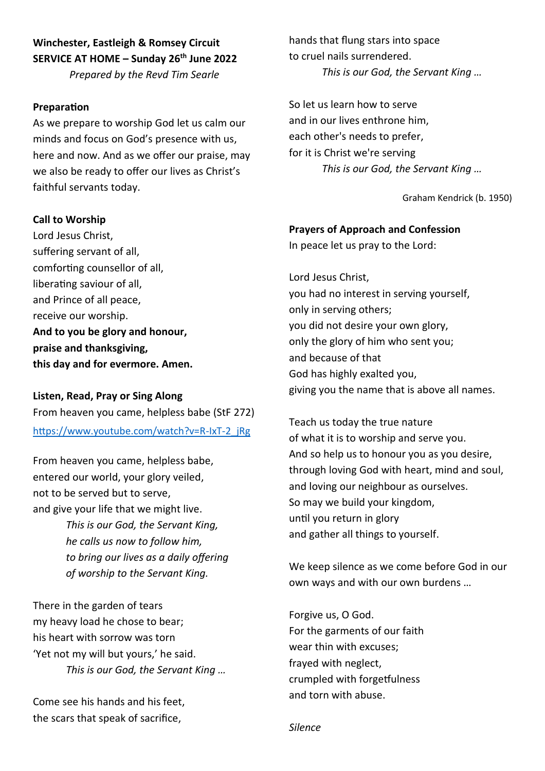# **Winchester, Eastleigh & Romsey Circuit SERVICE AT HOME – Sunday 26 th June 2022**

*Prepared by the Revd Tim Searle*

## **Preparation**

As we prepare to worship God let us calm our minds and focus on God's presence with us, here and now. And as we offer our praise, may we also be ready to offer our lives as Christ's faithful servants today.

## **Call to Worship**

Lord Jesus Christ, suffering servant of all, comforting counsellor of all, liberating saviour of all, and Prince of all peace, receive our worship. **And to you be glory and honour, praise and thanksgiving, this day and for evermore. Amen.** 

### **Listen, Read, Pray or Sing Along**

From heaven you came, helpless babe (StF 272) [https://www.youtube.com/watch?v=R-IxT-2\\_jRg](https://www.youtube.com/watch?v=R-IxT-2_jRg)

From heaven you came, helpless babe, entered our world, your glory veiled, not to be served but to serve, and give your life that we might live. *This is our God, the Servant King, he calls us now to follow him, to bring our lives as a daily offering of worship to the Servant King.*

There in the garden of tears my heavy load he chose to bear; his heart with sorrow was torn 'Yet not my will but yours,' he said. *This is our God, the Servant King …*

Come see his hands and his feet, the scars that speak of sacrifice,

hands that flung stars into space to cruel nails surrendered. *This is our God, the Servant King …*

So let us learn how to serve and in our lives enthrone him, each other's needs to prefer, for it is Christ we're serving *This is our God, the Servant King …*

### Graham Kendrick (b. 1950)

## **Prayers of Approach and Confession**

In peace let us pray to the Lord:

Lord Jesus Christ, you had no interest in serving yourself, only in serving others; you did not desire your own glory, only the glory of him who sent you; and because of that God has highly exalted you, giving you the name that is above all names.

Teach us today the true nature of what it is to worship and serve you. And so help us to honour you as you desire, through loving God with heart, mind and soul, and loving our neighbour as ourselves. So may we build your kingdom, until you return in glory and gather all things to yourself.

We keep silence as we come before God in our own ways and with our own burdens …

Forgive us, O God. For the garments of our faith wear thin with excuses; frayed with neglect, crumpled with forgetfulness and torn with abuse.

*Silence*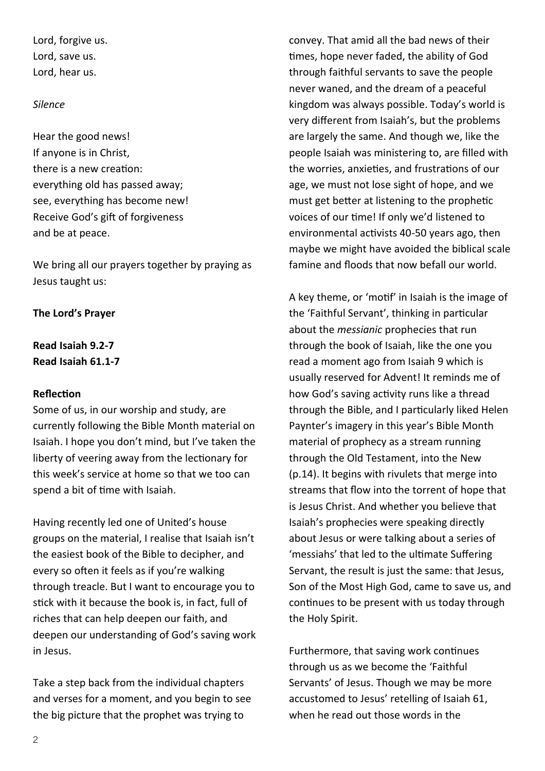Lord, forgive us. Lord, save us. Lord, hear us.

## *Silence*

Hear the good news! If anyone is in Christ, there is a new creation: everything old has passed away; see, everything has become new! Receive God's gift of forgiveness and be at peace.

We bring all our prayers together by praying as Jesus taught us:

### **The Lord's Prayer**

**Read Isaiah 9.2-7 Read Isaiah 61.1-7**

### **Reflection**

Some of us, in our worship and study, are currently following the Bible Month material on Isaiah. I hope you don't mind, but I've taken the liberty of veering away from the lectionary for this week's service at home so that we too can spend a bit of time with Isaiah.

Having recently led one of United's house groups on the material, I realise that Isaiah isn't the easiest book of the Bible to decipher, and every so often it feels as if you're walking through treacle. But I want to encourage you to stick with it because the book is, in fact, full of riches that can help deepen our faith, and deepen our understanding of God's saving work in Jesus.

Take a step back from the individual chapters and verses for a moment, and you begin to see the big picture that the prophet was trying to

convey. That amid all the bad news of their times, hope never faded, the ability of God through faithful servants to save the people never waned, and the dream of a peaceful kingdom was always possible. Today's world is very different from Isaiah's, but the problems are largely the same. And though we, like the people Isaiah was ministering to, are filled with the worries, anxieties, and frustrations of our age, we must not lose sight of hope, and we must get better at listening to the prophetic voices of our time! If only we'd listened to environmental activists 40-50 years ago, then maybe we might have avoided the biblical scale famine and floods that now befall our world.

A key theme, or 'motif' in Isaiah is the image of the 'Faithful Servant', thinking in particular about the *messianic* prophecies that run through the book of Isaiah, like the one you read a moment ago from Isaiah 9 which is usually reserved for Advent! It reminds me of how God's saving activity runs like a thread through the Bible, and I particularly liked Helen Paynter's imagery in this year's Bible Month material of prophecy as a stream running through the Old Testament, into the New (p.14). It begins with rivulets that merge into streams that flow into the torrent of hope that is Jesus Christ. And whether you believe that Isaiah's prophecies were speaking directly about Jesus or were talking about a series of 'messiahs' that led to the ultimate Suffering Servant, the result is just the same: that Jesus, Son of the Most High God, came to save us, and continues to be present with us today through the Holy Spirit.

Furthermore, that saving work continues through us as we become the 'Faithful Servants' of Jesus. Though we may be more accustomed to Jesus' retelling of Isaiah 61, when he read out those words in the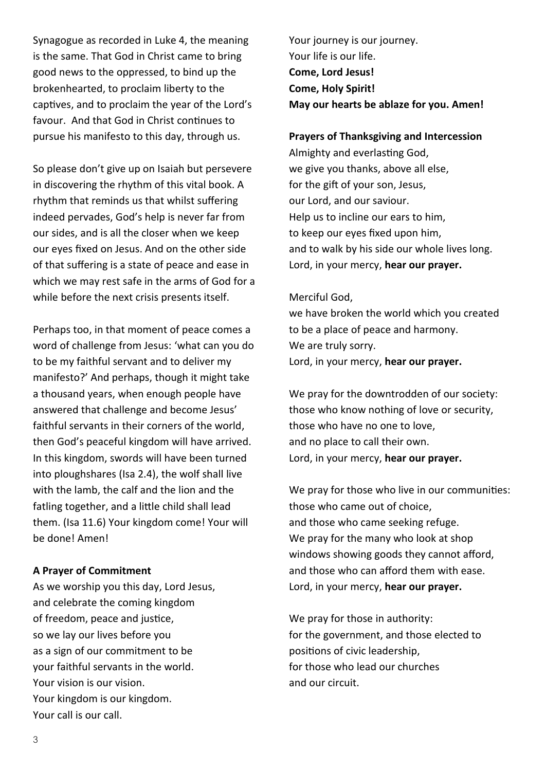Synagogue as recorded in Luke 4, the meaning is the same. That God in Christ came to bring good news to the oppressed, to bind up the brokenhearted, to proclaim liberty to the captives, and to proclaim the year of the Lord's favour. And that God in Christ continues to pursue his manifesto to this day, through us.

So please don't give up on Isaiah but persevere in discovering the rhythm of this vital book. A rhythm that reminds us that whilst suffering indeed pervades, God's help is never far from our sides, and is all the closer when we keep our eyes fixed on Jesus. And on the other side of that suffering is a state of peace and ease in which we may rest safe in the arms of God for a while before the next crisis presents itself.

Perhaps too, in that moment of peace comes a word of challenge from Jesus: 'what can you do to be my faithful servant and to deliver my manifesto?' And perhaps, though it might take a thousand years, when enough people have answered that challenge and become Jesus' faithful servants in their corners of the world, then God's peaceful kingdom will have arrived. In this kingdom, swords will have been turned into ploughshares (Isa 2.4), the wolf shall live with the lamb, the calf and the lion and the fatling together, and a little child shall lead them. (Isa 11.6) Your kingdom come! Your will be done! Amen!

### **A Prayer of Commitment**

As we worship you this day, Lord Jesus, and celebrate the coming kingdom of freedom, peace and justice, so we lay our lives before you as a sign of our commitment to be your faithful servants in the world. Your vision is our vision. Your kingdom is our kingdom. Your call is our call.

Your journey is our journey. Your life is our life. **Come, Lord Jesus! Come, Holy Spirit! May our hearts be ablaze for you. Amen!**

#### **Prayers of Thanksgiving and Intercession**

Almighty and everlasting God, we give you thanks, above all else, for the gift of your son, Jesus, our Lord, and our saviour. Help us to incline our ears to him, to keep our eyes fixed upon him, and to walk by his side our whole lives long. Lord, in your mercy, **hear our prayer.** 

#### Merciful God,

we have broken the world which you created to be a place of peace and harmony. We are truly sorry. Lord, in your mercy, **hear our prayer.** 

We pray for the downtrodden of our society: those who know nothing of love or security, those who have no one to love, and no place to call their own. Lord, in your mercy, **hear our prayer.** 

We pray for those who live in our communities: those who came out of choice, and those who came seeking refuge. We pray for the many who look at shop windows showing goods they cannot afford, and those who can afford them with ease. Lord, in your mercy, **hear our prayer.** 

We pray for those in authority: for the government, and those elected to positions of civic leadership, for those who lead our churches and our circuit.